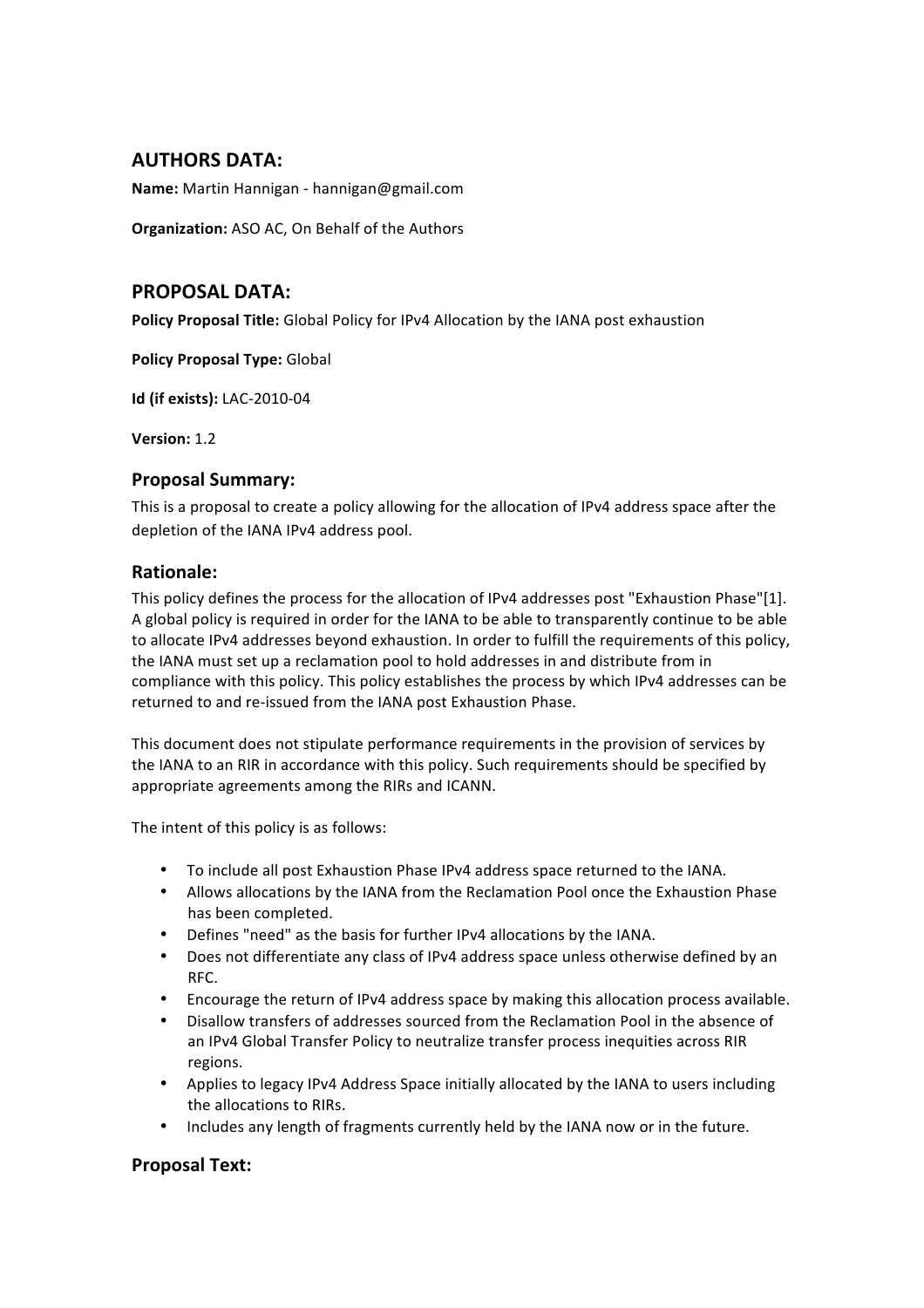# **AUTHORS(DATA:**

Name: Martin Hannigan - hannigan@gmail.com

**Organization:** ASO AC, On Behalf of the Authors

## PROPOSAL DATA:

Policy Proposal Title: Global Policy for IPv4 Allocation by the IANA post exhaustion

**Policy Proposal Type: Global** 

**Id (if exists): LAC-2010-04** 

**Version:** 1.2

### **Proposal Summary:**

This is a proposal to create a policy allowing for the allocation of IPv4 address space after the depletion of the IANA IPv4 address pool.

### **Rationale:(**

This policy defines the process for the allocation of IPv4 addresses post "Exhaustion Phase"[1]. A global policy is required in order for the IANA to be able to transparently continue to be able to allocate IPv4 addresses beyond exhaustion. In order to fulfill the requirements of this policy, the IANA must set up a reclamation pool to hold addresses in and distribute from in compliance with this policy. This policy establishes the process by which IPv4 addresses can be returned to and re-issued from the IANA post Exhaustion Phase.

This document does not stipulate performance requirements in the provision of services by the IANA to an RIR in accordance with this policy. Such requirements should be specified by appropriate agreements among the RIRs and ICANN.

The intent of this policy is as follows:

- To include all post Exhaustion Phase IPv4 address space returned to the IANA.
- Allows allocations by the IANA from the Reclamation Pool once the Exhaustion Phase has been completed.
- Defines "need" as the basis for further IPv4 allocations by the IANA.
- Does not differentiate any class of IPv4 address space unless otherwise defined by an RFC.
- Encourage the return of IPv4 address space by making this allocation process available.
- Disallow transfers of addresses sourced from the Reclamation Pool in the absence of an IPv4 Global Transfer Policy to neutralize transfer process inequities across RIR regions.
- Applies to legacy IPv4 Address Space initially allocated by the IANA to users including the allocations to RIRs.
- Includes any length of fragments currently held by the IANA now or in the future.

## **Proposal Text:**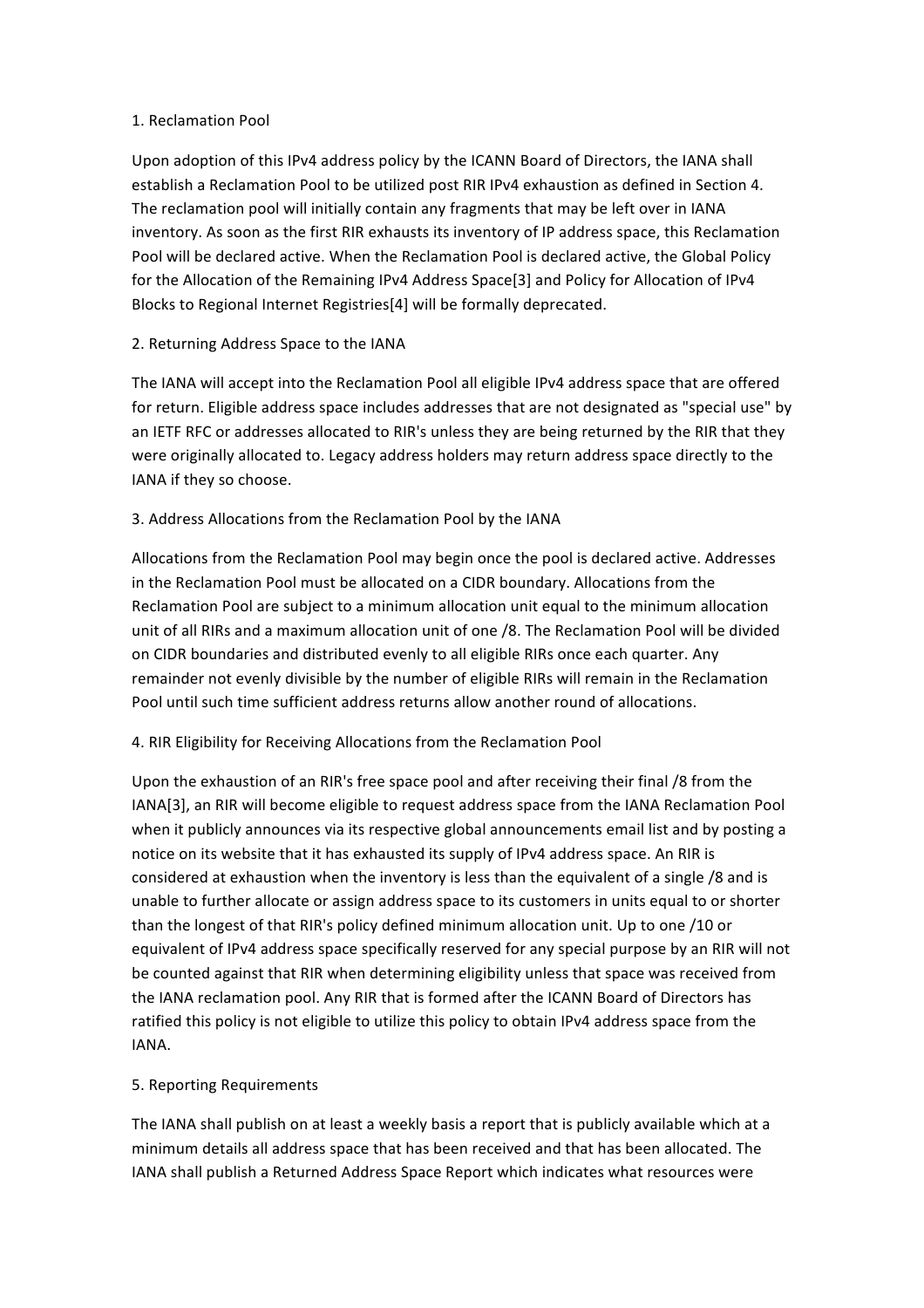#### 1. Reclamation Pool

Upon adoption of this IPv4 address policy by the ICANN Board of Directors, the IANA shall establish a Reclamation Pool to be utilized post RIR IPv4 exhaustion as defined in Section 4. The reclamation pool will initially contain any fragments that may be left over in IANA inventory. As soon as the first RIR exhausts its inventory of IP address space, this Reclamation Pool will be declared active. When the Reclamation Pool is declared active, the Global Policy for the Allocation of the Remaining IPv4 Address Space[3] and Policy for Allocation of IPv4 Blocks to Regional Internet Registries[4] will be formally deprecated.

### 2. Returning Address Space to the IANA

The IANA will accept into the Reclamation Pool all eligible IPv4 address space that are offered for return. Eligible address space includes addresses that are not designated as "special use" by an IETF RFC or addresses allocated to RIR's unless they are being returned by the RIR that they were originally allocated to. Legacy address holders may return address space directly to the IANA if they so choose.

#### 3. Address Allocations from the Reclamation Pool by the IANA

Allocations from the Reclamation Pool may begin once the pool is declared active. Addresses in the Reclamation Pool must be allocated on a CIDR boundary. Allocations from the Reclamation Pool are subject to a minimum allocation unit equal to the minimum allocation unit of all RIRs and a maximum allocation unit of one /8. The Reclamation Pool will be divided on CIDR boundaries and distributed evenly to all eligible RIRs once each quarter. Any remainder not evenly divisible by the number of eligible RIRs will remain in the Reclamation Pool until such time sufficient address returns allow another round of allocations.

### 4. RIR Eligibility for Receiving Allocations from the Reclamation Pool

Upon the exhaustion of an RIR's free space pool and after receiving their final /8 from the IANA[3], an RIR will become eligible to request address space from the IANA Reclamation Pool when it publicly announces via its respective global announcements email list and by posting a notice on its website that it has exhausted its supply of IPv4 address space. An RIR is considered at exhaustion when the inventory is less than the equivalent of a single /8 and is unable to further allocate or assign address space to its customers in units equal to or shorter than the longest of that RIR's policy defined minimum allocation unit. Up to one /10 or equivalent of IPv4 address space specifically reserved for any special purpose by an RIR will not be counted against that RIR when determining eligibility unless that space was received from the IANA reclamation pool. Any RIR that is formed after the ICANN Board of Directors has ratified this policy is not eligible to utilize this policy to obtain IPv4 address space from the IANA.

#### 5. Reporting Requirements

The IANA shall publish on at least a weekly basis a report that is publicly available which at a minimum details all address space that has been received and that has been allocated. The IANA shall publish a Returned Address Space Report which indicates what resources were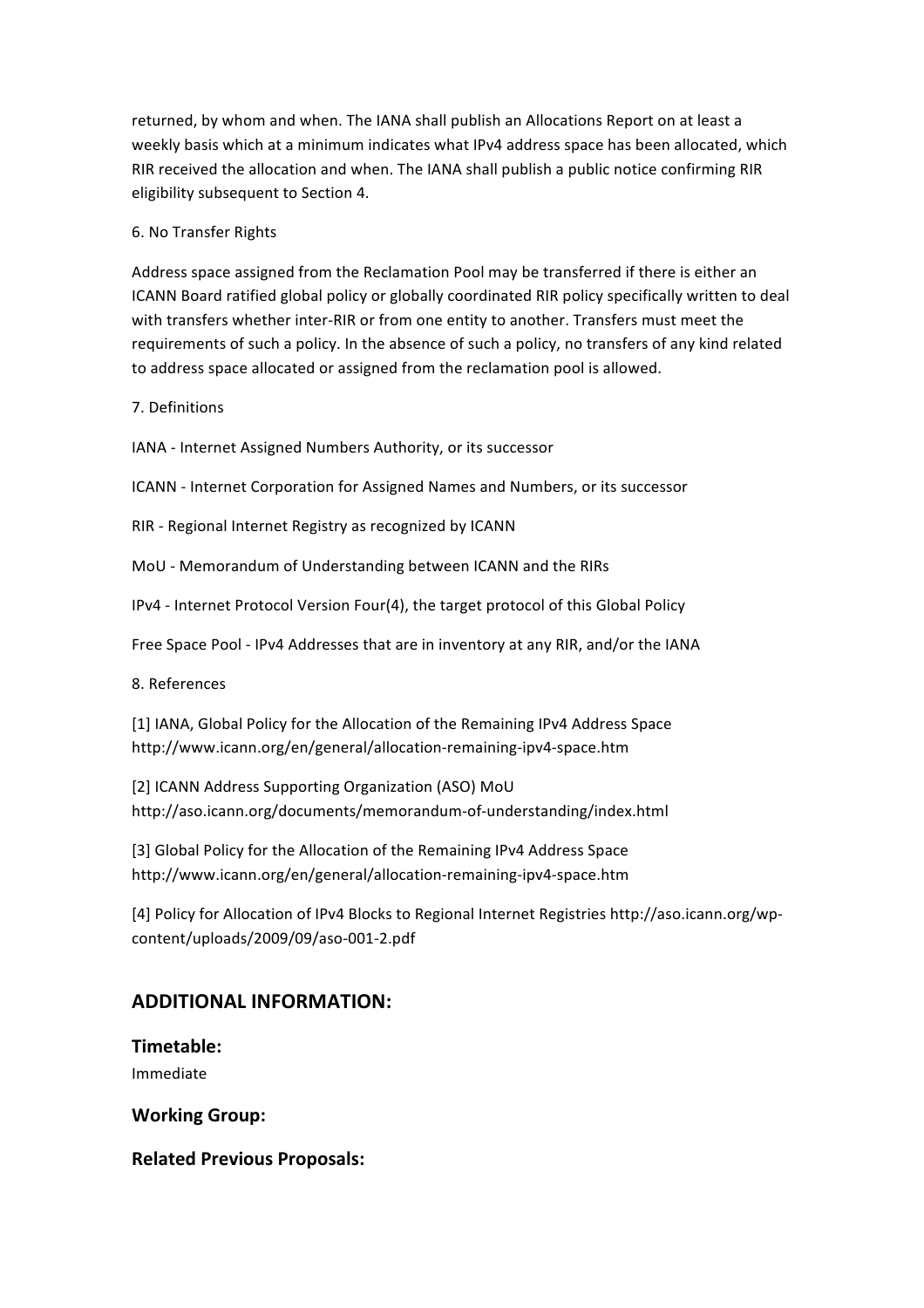returned, by whom and when. The IANA shall publish an Allocations Report on at least a weekly basis which at a minimum indicates what IPv4 address space has been allocated, which RIR received the allocation and when. The IANA shall publish a public notice confirming RIR eligibility subsequent to Section 4.

#### 6. No Transfer Rights

Address space assigned from the Reclamation Pool may be transferred if there is either an ICANN Board ratified global policy or globally coordinated RIR policy specifically written to deal with transfers whether inter-RIR or from one entity to another. Transfers must meet the requirements of such a policy. In the absence of such a policy, no transfers of any kind related to address space allocated or assigned from the reclamation pool is allowed.

7. Definitions

IANA - Internet Assigned Numbers Authority, or its successor

ICANN - Internet Corporation for Assigned Names and Numbers, or its successor

RIR - Regional Internet Registry as recognized by ICANN

MoU - Memorandum of Understanding between ICANN and the RIRs

IPv4 - Internet Protocol Version Four(4), the target protocol of this Global Policy

Free Space Pool - IPv4 Addresses that are in inventory at any RIR, and/or the IANA

8. References

[1] IANA, Global Policy for the Allocation of the Remaining IPv4 Address Space http://www.icann.org/en/general/allocation-remaining-ipv4-space.htm

[2] ICANN Address Supporting Organization (ASO) MoU http://aso.icann.org/documents/memorandum-of-understanding/index.html

[3] Global Policy for the Allocation of the Remaining IPv4 Address Space http://www.icann.org/en/general/allocation-remaining-ipv4-space.htm

[4] Policy for Allocation of IPv4 Blocks to Regional Internet Registries http://aso.icann.org/wpcontent/uploads/2009/09/aso-001-2.pdf

# **ADDITIONAL INFORMATION:**

### **Timetable:(**

Immediate

**Working Group:** 

**Related Previous Proposals:**